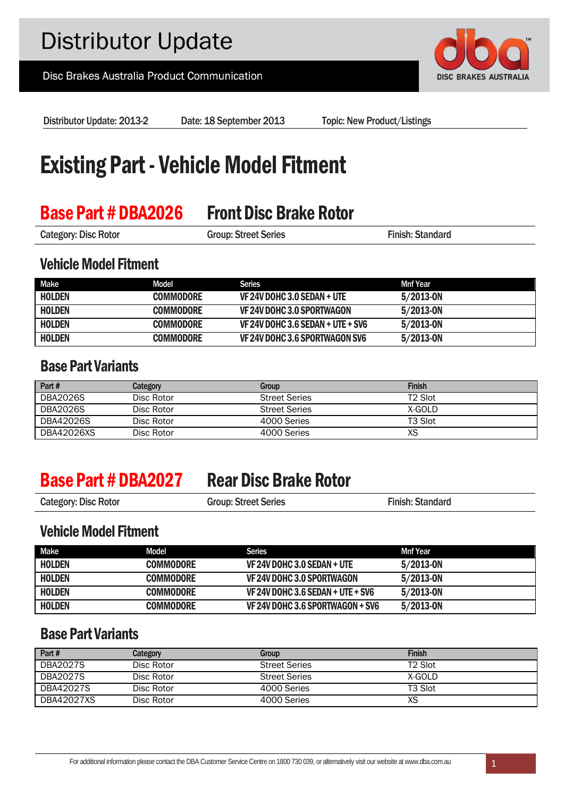Disc Brakes Australia Product Communication



Distributor Update: 2013-2 Date: 18 September 2013 Topic: New Product/Listings

# Existing Part - Vehicle Model Fitment

# Base Part # DBA2026 Front Disc Brake Rotor

Category: Disc Rotor Group: Street Series Finish: Standard Finish: Standard

#### Vehicle Model Fitment

| Make          | Model            | Series                            | <b>Mnf Year</b> |
|---------------|------------------|-----------------------------------|-----------------|
| <b>HOLDEN</b> | <b>COMMODORE</b> | VF 24V DOHC 3.0 SEDAN + UTE       | 5/2013-0N       |
| <b>HOLDEN</b> | <b>COMMODORE</b> | VF 24V DOHC 3.0 SPORTWAGON        | $5/2013 - 0N$   |
| <b>HOLDEN</b> | <b>COMMODORE</b> | VF 24V DOHC 3.6 SEDAN + UTE + SV6 | 5/2013-0N       |
| <b>HOLDEN</b> | <b>COMMODORE</b> | VF 24V DOHC 3.6 SPORTWAGON SV6    | 5/2013-0N       |

### Base Part Variants

| Part#           | Category   | Group                | <b>Finish</b>       |
|-----------------|------------|----------------------|---------------------|
| <b>DBA2026S</b> | Disc Rotor | <b>Street Series</b> | T <sub>2</sub> Slot |
| DBA2026S        | Disc Rotor | <b>Street Series</b> | X-GOLD              |
| DBA42026S       | Disc Rotor | 4000 Series          | T <sub>3</sub> Slot |
| DBA42026XS      | Disc Rotor | 4000 Series          | ХS                  |

### Base Part # DBA2027 Rear Disc Brake Rotor

| <b>Category: Disc Rotor</b><br><b>Finish: Standard</b><br><b>Group: Street Series</b> |  |
|---------------------------------------------------------------------------------------|--|
|---------------------------------------------------------------------------------------|--|

### Vehicle Model Fitment

| Make          | Model            | <b>Series</b>                     | <b>Mnf Year</b> |
|---------------|------------------|-----------------------------------|-----------------|
| <b>HOLDEN</b> | COMMODORE        | VF 24V DOHC 3.0 SEDAN + UTE       | $5/2013 - 0N$   |
| <b>HOLDEN</b> | <b>COMMODORE</b> | VF 24V DOHC 3.0 SPORTWAGON        | $5/2013 - 0N$   |
| <b>HOLDEN</b> | <b>COMMODORE</b> | VF 24V DOHC 3.6 SEDAN + UTE + SV6 | $5/2013 - 0N$   |
| <b>HOLDEN</b> | <b>COMMODORE</b> | VF 24V DOHC 3.6 SPORTWAGON + SV6  | 5/2013-0N       |

### Base Part Variants

| Part#             | Category   | Group                | <b>Finish</b>       |
|-------------------|------------|----------------------|---------------------|
| DBA2027S          | Disc Rotor | <b>Street Series</b> | T <sub>2</sub> Slot |
| <b>DBA2027S</b>   | Disc Rotor | <b>Street Series</b> | X-GOLD              |
| DBA42027S         | Disc Rotor | 4000 Series          | T <sub>3</sub> Slot |
| <b>DBA42027XS</b> | Disc Rotor | 4000 Series          | ХS                  |